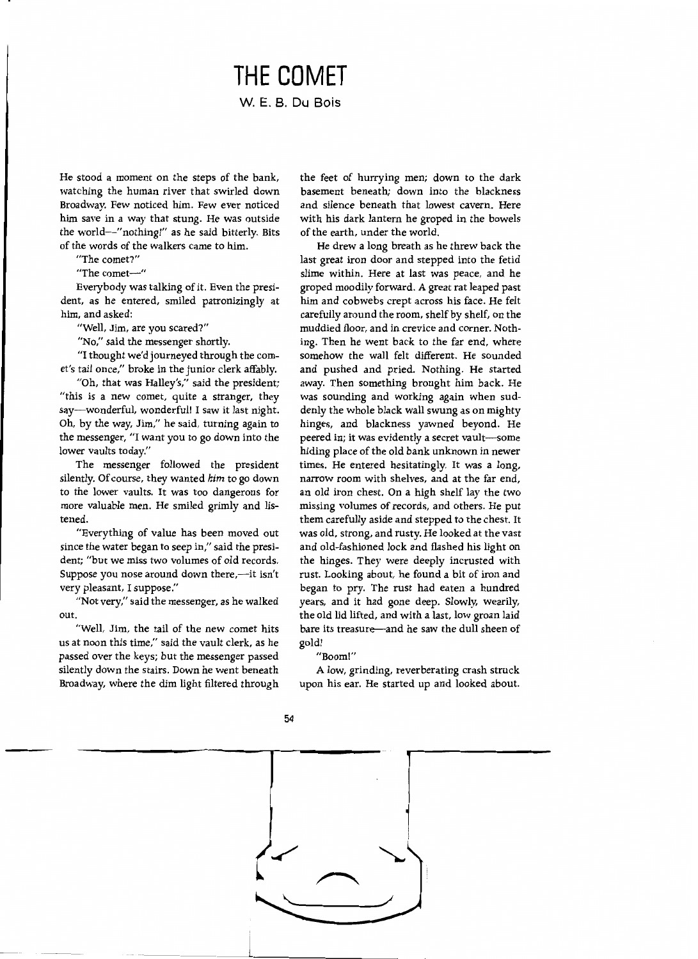## **THE COMET W. E. B. Du Bois**

He stood a moment on the steps of the bank, watching the human river that swirled down Broadway. Few noticed him. Few ever noticed him save in a way that stung. He was outside the world-"nothing!" as he said bitterly. Bits of the words of the walkers came to him.

"The comet?"

"The comet-"

Everybody was talking of it. Even the president, as he entered, smiled patronizingly at him, and asked:

"Well, Jim, are you scared?"

"No," said the messenger shortly.

"I thought we'd journeyed through the comet's tail once," broke in the junior clerk affably.

"Oh, that was Halley's," said the president; "this is a new comet, quite a stranger, they say-wonderful, wonderful! I saw it last night. Oh, by the way, Jim," he said, turning again to the messenger, "I want you to go down into the lower vaults today."

The messenger followed the president silently. Of course, they wanted *him* to go down to the lower vaults. It was too dangerous for more valuable men. He smiled grimly and listened.

"Everything of value has been moved out since the water began to seep in," said the president; "but we miss two volumes of old records. Suppose you nose around down there,-it isn't very pleasant, I suppose."

"Not very," said the messenger, as he walked out.

"Well, Jim, the tail of the new comet hits us at noon this time," said the vault clerk, as he passed over the keys; but the messenger passed silently down the stairs. Down he went beneath Broadway, where the dim light filtered through the feet of hurrying men; down to the dark basement beneath; down into the blackness and silence beneath that lowest cavern. Here with his dark lantern he groped in the bowels of the earth, under the world.

He drew a long breath as he threw back the last great iron door and stepped into the fetid slime within. Here at last was peace, and he groped moodily forward. A great rat leaped past him and cobwebs crept across his face. He felt carefully around the room, shelf by shelf, on the muddied floor, and in crevice and corner. Nothing. Then he went back to the far end, where somehow the wall felt different. He sounded and pushed and pried. Nothing. He started away. Then something brought him back. He was sounding and working again when suddenly the whole black wall swung as on mighty hinges, and blackness yawned beyond. He peered in; it was evidently a secret vault-some hiding place of the old bank unknown in newer times. He entered hesitatingly. It was a long, narrow room with shelves, and at the far end, an old iron chest. On a high shelf lay the two missing volumes of records, and others. He put them carefully aside and stepped to the chest. It was old, strong, and rusty. He looked at the vast and old-fashioned lock and flashed his light on the hinges. They were deeply incrusted with rust. Looking about, he found a bit of iron and began to pry. The rust had eaten a hundred years, and it had gone deep. Slowly, wearily, the old lid lifted, and with a last, low groan laid bare its treasure—and he saw the dull sheen of gold!

"Boom!"

A low, grinding, reverberating crash struck upon his ear. He started up and looked about.



54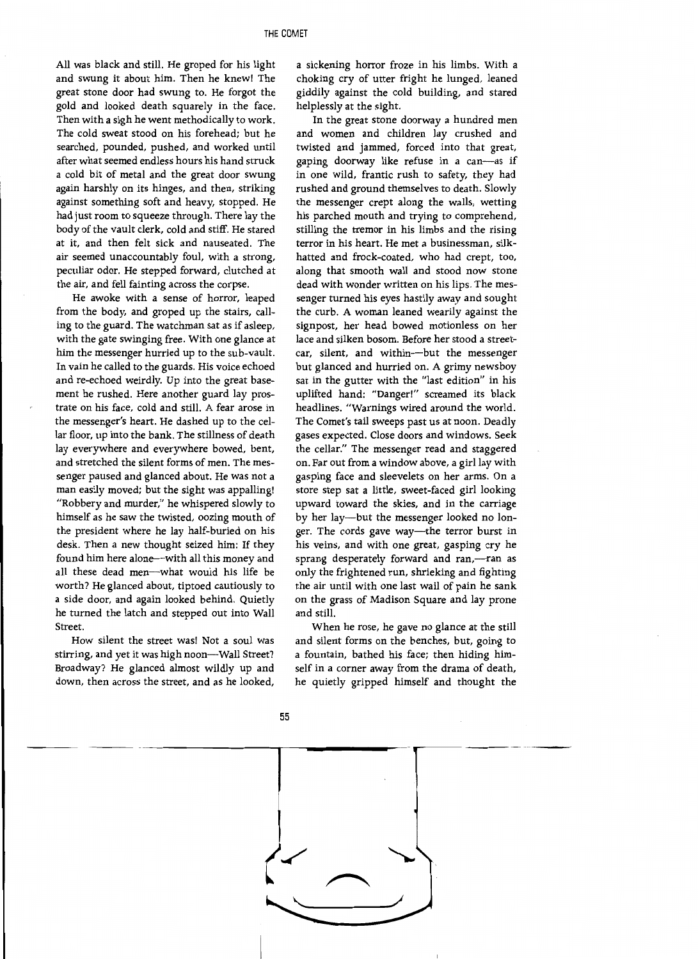All was black and still. He groped for his light and swung it about him. Then he knew! The great stone door had swung to. He forgot the gold and looked death squarely in the face. Then with a sigh he went methodically to work. The cold sweat stood on his forehead; but he searched, pounded, pushed, and worked until after what seemed endless hours his hand struck a cold bit of metal and the great door swung again harshly on its hinges, and then, striking against something soft and heavy, stopped. He had just room to squeeze through. There lay the body of the vault clerk, cold and stiff. He stared at it, and then felt sick and nauseated. The air seemed unaccountably foul, with a strong, peculiar odor. He stepped forward, clutched at the air, and fell fainting across the corpse.

He awoke with a sense of horror, leaped from the body, and groped up the stairs, calling to the guard. The watchman sat as if asleep, with the gate swinging free. With one glance at him the messenger hurried up to the sub-vault. In vain he called to the guards. His voice echoed and re-echoed weirdly. Up into the great basement he rushed. Here another guard lay prostrate on his face, cold and still. A fear arose in the messenger's heart. He dashed up to the cellar floor, up into the bank. The stillness of death lay everywhere and everywhere bowed, bent, and stretched the silent forms of men. The messenger paused and glanced about. He was not a man easily moved; but the sight was appalling! "Robbery and murder," he whispered slowly to himself as he saw the twisted, oozing mouth of the president where he lay half-buried on his desk. Then a new thought seized him: If they found him here alone--with all this money and all these dead men-what would his life be worth? He glanced about, tiptoed cautiously to a side door, and again looked behind. Quietly he turned the latch and stepped out into Wall Street.

How silent the street was! Not a soul was stirring, and yet it was high noon---Wall Street? Broadway? He glanced almost wildly up and down, then across the street, and as he looked,

a sickening horror froze in his limbs. With a choking cry of utter fright he lunged, leaned giddily against the cold building, and stared helplessly at the sight.

In the great stone doorway a hundred men and women and children lay crushed and twisted and jammed, forced into that great, gaping doorway like refuse in a can-as if in one wild, frantic rush to safety, they had rushed and ground themselves to death. Slowly the messenger crept along the walls, wetting his parched mouth and trying to comprehend, stilling the tremor in his limbs and the rising terror in his heart. He met a businessman, silkhatted and frock-coated, who had crept, too, along that smooth wall and stood now stone dead with wonder written on his lips. The messenger turned his eyes hastily away and sought the curb. A woman leaned wearily against the signpost, her head bowed motionless on her lace and silken bosom. Before her stood a streetcar, silent, and within-but the messenger but glanced and hurried on. A grimy newsboy sat in the gutter with the "last edition" in his uplifted hand: "Danger!" screamed its black headlines. "Warnings wired around the world. The Comet's tail sweeps past us at noon. Deadly gases expected. Close doors and windows. Seek the cellar." The messenger read and staggered on. Far out from a window above, a girl lay with gasping face and sleevelets on her arms. On a store step sat a little, sweet-faced girl looking upward toward the skies, and in the carriage by her lay-but the messenger looked no longer. The cords gave way-the terror burst in his veins, and with one great, gasping cry he sprang desperately forward and ran,---ran as only the frightened run, shrieking and fighting the air until with one last wail of pain he sank on the grass of Madison Square and lay prone and still.

When he rose, he gave no glance at the still and silent forms on the benches, but, going to a fountain, bathed his face; then hiding himself in a corner away from the drama of death, he quietly gripped himself and thought the



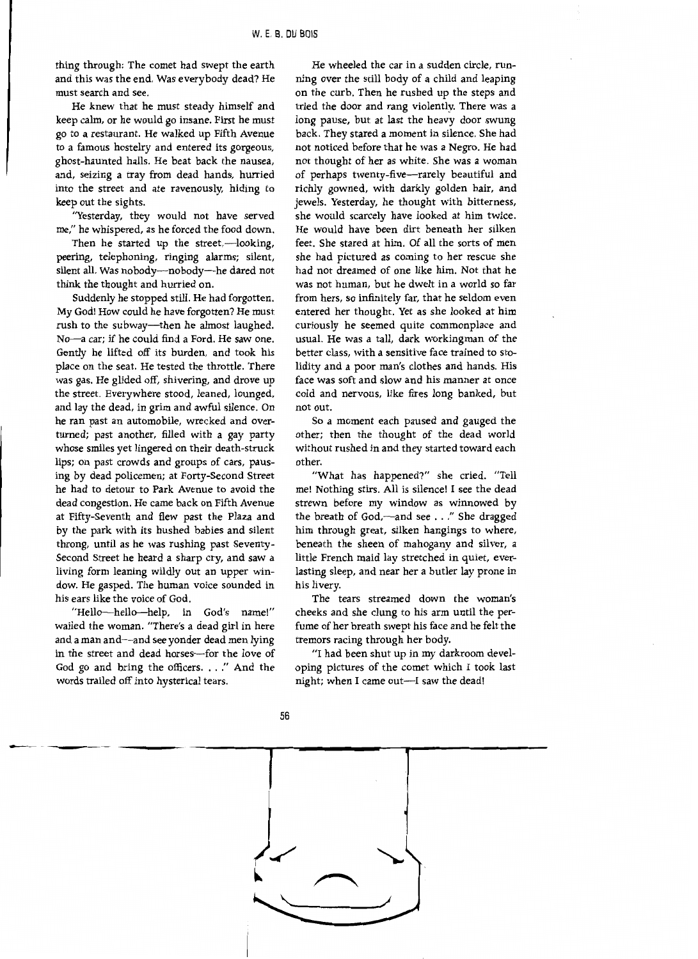thing through: The comet had swept the earth and this was the end. Was everybody dead? He must search and see.

He knew that he must steady himself and keep calm, or he would go insane. First he must go to a restaurant. He walked up Fifth Avenue to a famous hostelry and entered its gorgeous, ghost-haunted halls. He beat back the nausea, and, seizing a tray from dead hands, hurried into the street and ate ravenously, hiding to keep out the sights.

"Yesterday, they would not have served me," he whispered, as he forced the food down.

Then he started up the street,-looking, peering, telephoning, ringing alarms; silent, silent all. Was nobody---nobody---he dared not think the thought and hurried on.

Suddenly he stopped still. He had forgotten. My God! How could he have forgotten? He must rush to the subway—then he almost laughed. No-a car; if he could find a Ford. He saw one. Gently he lifted off its burden, and took his place on the seat. He tested the throttle. There was gas. He glided off, shivering, and drove up the street. Everywhere stood, leaned, lounged, and lay the dead, in grim and awful silence. On he ran past an automobile, wrecked and overturned; past another, filled with a gay party whose smiles yet lingered on their death-struck lips; on past crowds and groups of cars, pausing by dead policemen; at Forty-Second Street he had to detour to Park Avenue to avoid the dead congestion. He came back on Fifth Avenue at Fifty-Seventh and flew past the Plaza and by the park with its hushed babies and silent throng, until as he was rushing past Seventy-Second Street he heard a sharp cry, and saw a living form leaning wildly out an upper window. He gasped. The human voice sounded in his ears like the voice of God.

"Hello-hello-help, in God's name!" wailed the woman. "There's a dead girl in here and a man and-and see yonder dead men lying in the street and dead horses-for the love of God go and bring the officers. . .. " And the words trailed off into hysterical tears.

He wheeled the car in a sudden circle, running over the still body of a child and leaping on the curb. Then he rushed up the steps and tried the door and rang violently. There was a long pause, but at last the heavy door swung back. They stared a moment in silence. She had not noticed before that he was a Negro. He had not thought of her as white. She was a woman of perhaps twenty-five-rarely beautiful and richly gowned, with darkly golden hair, and jewels. Yesterday, he thought with bitterness, she would scarcely have looked at him twice. He would have been dirt beneath her silken feet. She stared at him. Of all the sorts of men she had pictured as coming to her rescue she had not dreamed of one like him. Not that he was not human, but he dwelt in a world so far from hers, so infinitely far, that he seldom even entered her thought. Yet as she looked at him curiously he seemed quite commonplace and usual. He was a tall, dark workingman of the better class, with a sensitive face trained to stolidity and a poor man's clothes and hands. His face was soft and slow and his manner at once cold and nervous, like fires long banked, but not out.

So a moment each paused and gauged the other; then the thought of the dead world without rushed in and they started toward each other.

"What has happened?" she cried. "Tell me! Nothing stirs. All is silence! I see the dead strewn before my window as winnowed by the breath of God,—and see . . ." She dragged him through great, silken hangings to where, beneath the sheen of mahogany and silver, a little French maid lay stretched in quiet, everlasting sleep, and near her a butler lay prone in his livery.

The tears streamed down the woman's cheeks and she clung to his arm until the perfume of her breath swept his face and he felt the tremors racing through her body.

"I had been shut up in my darkroom developing pictures of the comet which I took last night; when I came out-I saw the dead!



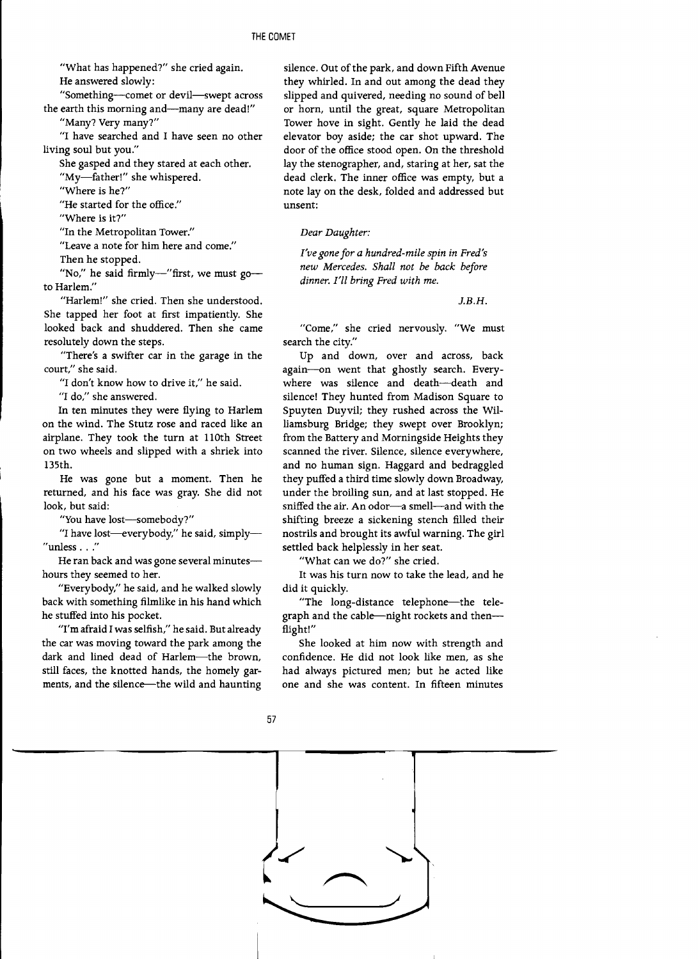"What has happened?" she cried again. He answered slowly:

"Something-comet or devil-swept across the earth this morning and-many are dead!"

"Many? Very many?"

"I have searched and I have seen no other living soul but you."

She gasped and they stared at each other. "My-father!" she whispered.

"Where is he?"

"He started for the office."

"Where is it?"

"In the Metropolitan Tower."

"Leave a note for him here and come."

Then he stopped.

"No," he said firmly-"first, we must go-to Harlem."

"Harlem!" she cried. Then she understood. She tapped her foot at first impatiently. She looked back and shuddered. Then she came resolutely down the steps.

"There's a swifter car in the garage in the court," she said.

"I don't know how to drive it," he said.

"I do," she answered.

In ten minutes they were flying to Harlem on the wind. The Stutz rose and raced like an airplane. They took the turn at llOth Street on two wheels and slipped with a shriek into l35th.

He was gone but a moment. Then he returned, and his face was gray. She did not look, but said:

"You have lost-somebody?"

"I have lost-everybody," he said, simply-" unless . . ."

He ran back and was gone several minuteshours they seemed to her.

"Everybody," he said, and he walked slowly back with something filmlike in his hand which he stuffed into his pocket.

"I'm afraid I was selfish," he said. But already the car was moving toward the park among the dark and lined dead of Harlem-the brown, still faces, the knotted hands, the homely garments, and the silence--the wild and haunting

silence. Out of the park, and down Fifth Avenue they whirled. In and out among the dead they slipped and quivered, needing no sound of bell or horn, until the great, square Metropolitan Tower hove in sight. Gently he laid the dead elevator boy aside; the car shot upward. The door of the office stood open. On the threshold lay the stenographer, and, staring at her, sat the dead clerk. The inner office was empty, but a note lay on the desk, folded and addressed but unsent:

*Dear Daughter:* 

*I've gone for a hundred-mile spin in Fred's new Mercedes. Shall not be back before dinner. I'll bring Fred with me.* 

J.B.H.

"Come," she cried nervously. "We must search the city."

Up and down, over and across, back again-on went that ghostly search. Everywhere was silence and death-death and silence! They hunted from Madison Square to Spuyten Duyvil; they rushed across the Williamsburg Bridge; they swept over Brooklyn; from the Battery and Morningside Heights they scanned the river. Silence, silence everywhere, and no human sign. Haggard and bedraggled they puffed a third time slowly down Broadway, under the broiling sun, and at last stopped. He sniffed the air. An odor-a smell-and with the shifting breeze a sickening stench filled their nostrils and brought its awful warning. The girl settled back helplessly in her seat.

"What can we do?" she cried.

It was his turn now to take the lead, and he did it quickly.

"The long-distance telephone--the telegraph and the cable--night rockets and then--flight!"

She looked at him now with strength and confidence. He did not look like men, as she had always pictured men; but he acted like one and she was content. In fifteen minutes



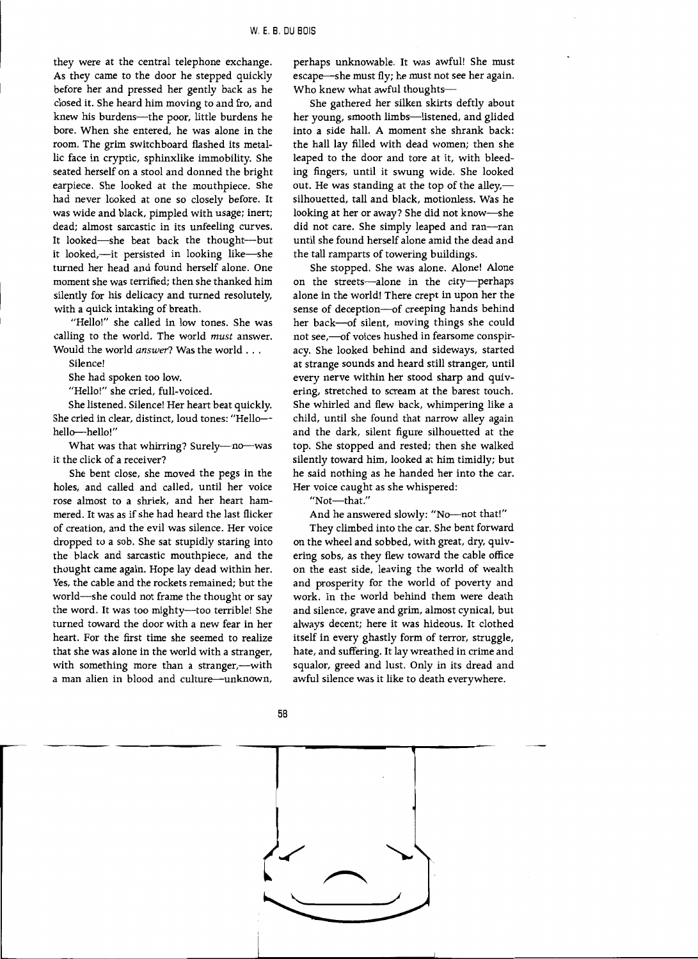they were at the central telephone exchange. As they came to the door he stepped quickly before her and pressed her gently back as he closed it. She heard him moving to and fro, and knew his burdens-the poor, little burdens he bore. When she entered, he was alone in the room. The grim switchboard flashed its metallic face in cryptic, sphinxlike immobility. She seated herself on a stool and donned the bright earpiece. She looked at the mouthpiece. She had never looked at one so closely before. It was wide and black, pimpled with usage; inert; dead; almost sarcastic in its unfeeling curves. It looked-she beat back the thought-but it looked,--it persisted in looking like--she turned her head and found herself alone. One moment she was terrified; then she thanked him silently for his delicacy and turned resolutely, with a quick intaking of breath.

"Hello!" she called in low tones. She was calling to the world. The world *must* answer. Would the world *answer?* Was the world ...

Silence!

She had spoken too low.

"Hello!" she cried, full-voiced.

She listened. Silence! Her heart beat quickly. She cried in clear, distinct, loud tones: "Hellohello-hello!"

What was that whirring? Surely---no---was it the click of a receiver?

She bent close, she moved the pegs in the holes, and called and called, until her voice rose almost to a shriek, and her heart hammered. It was as if she had heard the last flicker of creation, and the evil was silence. Her voice dropped to a sob. She sat stupidly staring into the black and sarcastic mouthpiece, and the thought came again. Hope lay dead within her. Yes, the cable and the rockets remained; but the world-she could not frame the thought or say the word. It was too mighty--too terrible! She turned toward the door with a new fear in her heart. For the first time she seemed to realize that she was alone in the world with a stranger, with something more than a stranger,---with a man alien in blood and culture--unknown,

perhaps unknowable. It was awful! She must escape-she must fly; he must not see her again. Who knew what awful thoughts-

She gathered her silken skirts deftly about her young, smooth limbs-listened, and glided into a side hall. A moment she shrank back: the hall lay filled with dead women; then she leaped to the door and tore at it, with bleeding fingers, until it swung wide. She looked out. He was standing at the top of the alley,silhouetted, tall and black, motionless. Was he looking at her or away? She did not know-she did not care. She simply leaped and ran-ran until she found herself alone amid the dead and the tall ramparts of towering buildings.

She stopped. She was alone. Alone! Alone on the streets-alone in the city-perhaps alone in the world! There crept in upon her the sense of deception-of creeping hands behind her back-of silent, moving things she could not see,-of voices hushed in fearsome conspiracy. She looked behind and sideways, started at strange sounds and heard still stranger, until every nerve within her stood sharp and quivering, stretched to scream at the barest touch. She whirled and flew back, whimpering like a child, until she found that narrow alley again and the dark, silent figure silhouetted at the top. She stopped and rested; then she walked silently toward him, looked at him timidly; but he said nothing as he handed her into the car. Her voice caught as she whispered:

"Not-that."

And he answered slowly: "No-not that!"

They climbed into the car. She bent forward on the wheel and sobbed, with great, dry, quivering sobs, as they flew toward the cable office on the east side, leaving the world of wealth and prosperity for the world of poverty and work. In the world behind them were death and silence, grave and grim, almost cynical, but always decent; here it was hideous. It clothed itself in every ghastly form of terror, struggle, hate, and suffering. It lay wreathed in crime and squalor, greed and lust. Only in its dread and awful silence was it like to death everywhere.



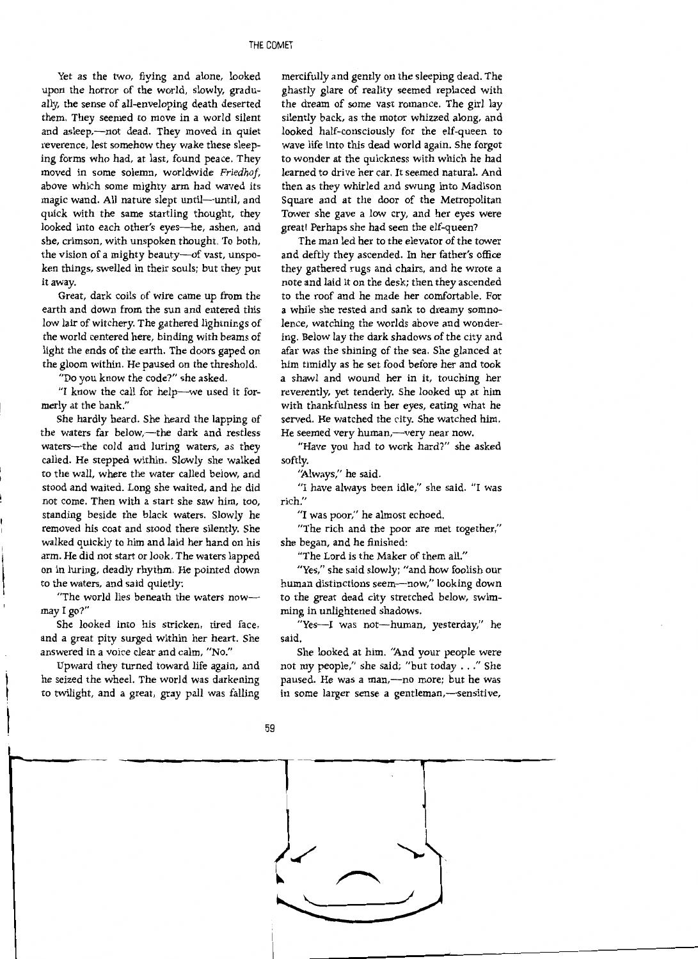Yet as the two, flying and alone, looked upon the horror of the world, slowly, gradually, the sense of all-enveloping death deserted them. They seemed to move in a world silent and asleep,---not dead. They moved in quiet reverence, lest somehow they wake these sleeping forms who had, at last, found peace. They moved in some solemn, worldwide *Friedhof,*  above which some mighty arm had waved its magic wand. All nature slept until-until, and quick with the same startling thought, they looked into each other's eyes-he, ashen, and she, crimson, with unspoken thought. To both, the vision of a mighty beauty-of vast, unspoken things, swelled in their souls; but they put it away.

Great, dark coils of wire came up from the earth and down from the sun and entered this low lair of witchery. The gathered lightnings of the world centered here, binding with beams of light the ends of the earth. The doors gaped on the gloom within. He paused on the threshold.

"Do you know the code?" she asked.

"I know the call for help--we used it formerly at the bank."

She hardly heard. She heard the lapping of the waters far below,-the dark and restless waters-the cold and luring waters, as they called. He stepped within. Slowly she walked to the wall, where the water called below, and stood and waited. Long she waited, and he did not come. Then with a start she saw him, too, standing beside the black waters. Slowly he removed his coat and stood there silently. She walked quickly to him and laid her hand on his arm. He did not start or look. The waters lapped on in luring, deadly rhythm. He pointed down to the waters, and said quietly:

"The world lies beneath the waters nowmay I go?"

She looked into his stricken, tired face, and a great pity surged within her heart. She answered in a voice clear and calm, "No."

Upward they turned toward life again, and he seized the wheel. The world was darkening to twilight, and a great, gray pall was falling

mercifully and gently on the sleeping dead. The ghastly glare of reality seemed replaced with the dream of some vast romance. The girl lay silently back, as the motor whizzed along, and looked half-consciously for the elf-queen to wave life into this dead world again. She forgot to wonder at the quickness with which he had learned to drive her car. It seemed natural. And then as they whirled and swung into Madison Square and at the door of the Metropolitan Tower she gave a low cry, and her eyes were great! Perhaps she had seen the elf-queen?

The man led her to the elevator of the tower and deftly they ascended. In her father's office they gathered rugs and chairs, and he wrote a note and laid it on the desk; then they ascended to the roof and he made her comfortable. For a while she rested and sank to dreamy somnolence, watching the worlds above and wondering. Below lay the dark shadows of the city and afar was the shining of the sea. She glanced at him timidly as he set food before her and took a shawl and wound her in it, touching her reverently, yet tenderly. She looked up at him with thankfulness in her eyes, eating what he served. He watched the city. She watched him. He seemed very human,--very near now.

"Have you had to work hard?" she asked softly.

"Always," he said.

"I have always been idle," she said. "I was rich."

"I was poor," he almost echoed.

"The rich and the poor are met together," she began, and he finished:

"The Lord is the Maker of them all."

"Yes," she said slowly; "and how foolish our human distinctions seem-now," looking down to the great dead city stretched below, swimming in unlightened shadows.

"Yes-I was not-human, yesterday," he said.

She looked at him. "And your people were not my people," she said; "but today ... " She paused. He was a man,-no more; but he was in some larger sense a gentleman,-sensitive,



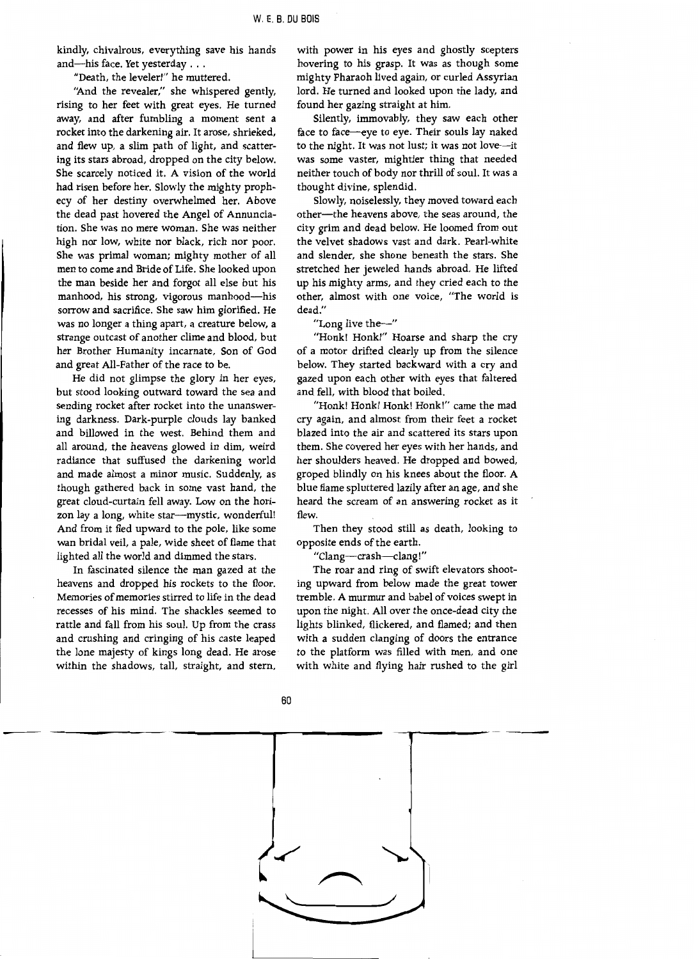kindly, chivalrous, everything save his hands and-his face. Yet yesterday . . .

"Death, the leveler!" he muttered.

"And the revealer," she whispered gently, rising to her feet with great eyes. He turned away, and after fumbling a moment sent a rocket into the darkening air. It arose, shrieked, and flew up, a slim path of light, and scattering its stars abroad, dropped on the city below. She scarcely noticed it. A vision of the world had risen before her. Slowly the mighty prophecy of her destiny overwhelmed her. Above the dead past hovered the Angel of Annunciation. She was no mere woman. She was neither high nor low, white nor black, rich nor poor. She was primal woman; mighty mother of all men to come and Bride of Life. She looked upon the man beside her and forgot all else but his manhood, his strong, vigorous manhood-his sorrow and sacrifice. She saw him glorified. He was no longer a thing apart, a creature below, a strange outcast of another clime and blood, but her Brother Humanity incarnate, Son of God and great All-Father of the race to be.

He did not glimpse the glory in her eyes, but stood looking outward toward the sea and sending rocket after rocket into the unanswering darkness. Dark-purple clouds lay banked and billowed in the west. Behind them and all around, the heavens glowed in dim, weird radiance that suffused the darkening world and made almost a minor music. Suddenly, as though gathered back in some vast hand, the great cloud-curtain fell away. Low on the horizon lay a long, white star-mystic, wonderful! And from it fled upward to the pole, like some wan bridal veil, a pale, wide sheet of flame that lighted all the world and dimmed the stars.

In fascinated silence the man gazed at the heavens and dropped his rockets to the floor. Memories of memories stirred to life in the dead recesses of his mind. The shackles seemed to rattle and fall from his soul. Up from the crass and crushing and cringing of his caste leaped the lone majesty of kings long dead. He arose within the shadows, tall, straight, and stern,

with power in his eyes and ghostly scepters hovering to his grasp. It was as though some mighty Pharaoh lived again, or curled Assyrian lord. He turned and looked upon the lady, and found her gazing straight at him.

Silently, immovably, they saw each other face to face-eye to eye. Their souls lay naked to the night. It was not lust; it was not love--it was some vaster, mightier thing that needed neither touch of body nor thrill of soul. It was a thought divine, splendid.

Slowly, noiselessly, they moved toward each other-the heavens above, the seas around, the city grim and dead below. He loomed from out the velvet shadows vast and dark. Pearl-white and slender, she shone beneath the stars. She stretched her jeweled hands abroad. He lifted up his mighty arms, and they cried each to the other, almost with one voice, "The world is dead."

"Long live the $-$ "

"Honk! Honk!" Hoarse and sharp the cry of a motor drifted clearly up from the silence below. They started backward with a cry and gazed upon each other with eyes that faltered and fell, with blood that boiled.

"Honk! Honk! Honk! Honk!" came the mad cry again, and almost from their feet a rocket blazed into the air and scattered its stars upon them. She covered her eyes with her hands, and her shoulders heaved. He dropped and bowed, groped blindly on his knees about the floor. A blue flame spluttered lazily after an age, and she heard the scream of an answering rocket as it flew.

Then they stood still as death, looking to opposite ends of the earth.

"Clang-crash-clang!"

The roar and ring of swift elevators shooting upward from below made the great tower tremble. A murmur and babel of voices swept in upon the night. All over the once-dead city the lights blinked, flickered, and flamed; and then with a sudden clanging of doors the entrance to the platform was filled with men, and one with white and flying hair rushed to the girl